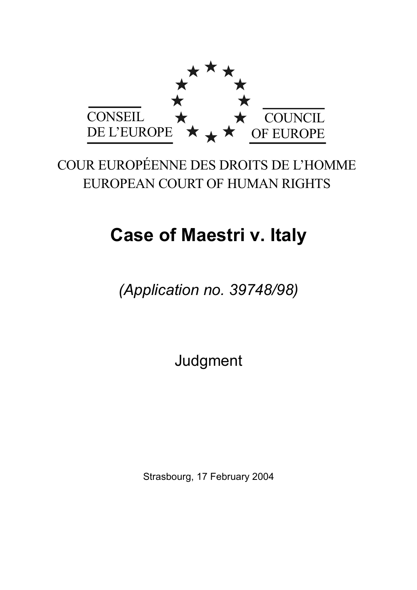

# COUR EUROPÉENNE DES DROITS DE L'HOMME EUROPEAN COURT OF HUMAN RIGHTS

# **Case of Maestri v. Italy**

*(Application no. 39748/98)*

Judgment

Strasbourg, 17 February 2004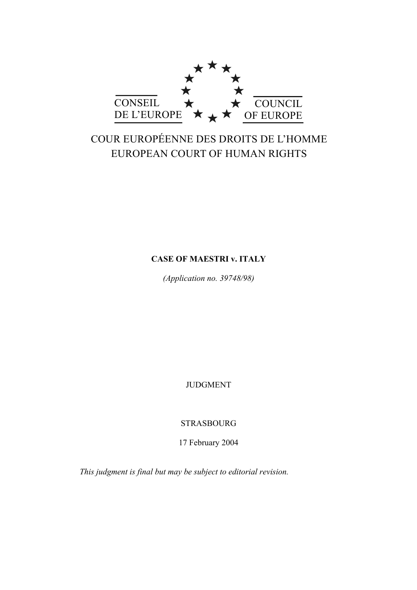

# COUR EUROPÉENNE DES DROITS DE L'HOMME EUROPEAN COURT OF HUMAN RIGHTS

# **CASE OF MAESTRI v. ITALY**

*(Application no. 39748/98)* 

JUDGMENT

STRASBOURG

17 February 2004

*This judgment is final but may be subject to editorial revision.*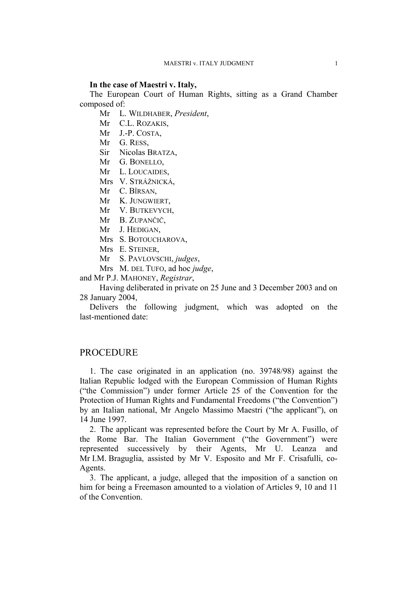#### **In the case of Maestri v. Italy,**

The European Court of Human Rights, sitting as a Grand Chamber composed of:

Mr L. WILDHABER, *President*,

Mr C.L. ROZAKIS,

Mr J.-P. COSTA,

Mr G. RESS.

Sir Nicolas BRATZA,

Mr G. BONELLO,

Mr L. LOUCAIDES,

Mrs V. STRÁŽNICKÁ,

Mr C. BÎRSAN,

Mr K. JUNGWIERT,

Mr V. BUTKEVYCH,

Mr B. ZUPANČIČ,

Mr J. HEDIGAN,

Mrs S. BOTOUCHAROVA,

Mrs E. STEINER,

Mr S. PAVLOVSCHI, *judges*,

Mrs M. DEL TUFO, ad hoc *judge*,

and Mr P.J. MAHONEY, *Registrar*,

 Having deliberated in private on 25 June and 3 December 2003 and on 28 January 2004,

Delivers the following judgment, which was adopted on the last-mentioned date:

#### PROCEDURE

1. The case originated in an application (no. 39748/98) against the Italian Republic lodged with the European Commission of Human Rights ("the Commission") under former Article 25 of the Convention for the Protection of Human Rights and Fundamental Freedoms ("the Convention") by an Italian national, Mr Angelo Massimo Maestri ("the applicant"), on 14 June 1997.

2. The applicant was represented before the Court by Mr A. Fusillo, of the Rome Bar. The Italian Government ("the Government") were represented successively by their Agents, Mr U. Leanza and Mr I.M. Braguglia, assisted by Mr V. Esposito and Mr F. Crisafulli, co-Agents.

3. The applicant, a judge, alleged that the imposition of a sanction on him for being a Freemason amounted to a violation of Articles 9, 10 and 11 of the Convention.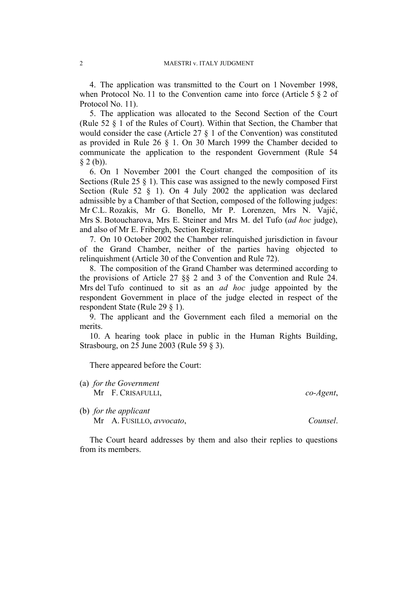4. The application was transmitted to the Court on 1 November 1998, when Protocol No. 11 to the Convention came into force (Article  $5 \& 2$  of Protocol No. 11).

5. The application was allocated to the Second Section of the Court (Rule 52 § 1 of the Rules of Court). Within that Section, the Chamber that would consider the case (Article 27 § 1 of the Convention) was constituted as provided in Rule 26 § 1. On 30 March 1999 the Chamber decided to communicate the application to the respondent Government (Rule 54  $§ 2(b)$ ).

6. On 1 November 2001 the Court changed the composition of its Sections (Rule 25 § 1). This case was assigned to the newly composed First Section (Rule 52 § 1). On 4 July 2002 the application was declared admissible by a Chamber of that Section, composed of the following judges: Mr C.L. Rozakis, Mr G. Bonello, Mr P. Lorenzen, Mrs N. Vajić, Mrs S. Botoucharova, Mrs E. Steiner and Mrs M. del Tufo (*ad hoc* judge), and also of Mr E. Fribergh, Section Registrar.

7. On 10 October 2002 the Chamber relinquished jurisdiction in favour of the Grand Chamber, neither of the parties having objected to relinquishment (Article 30 of the Convention and Rule 72).

8. The composition of the Grand Chamber was determined according to the provisions of Article 27 §§ 2 and 3 of the Convention and Rule 24. Mrs del Tufo continued to sit as an *ad hoc* judge appointed by the respondent Government in place of the judge elected in respect of the respondent State (Rule 29 § 1).

9. The applicant and the Government each filed a memorial on the merits.

10. A hearing took place in public in the Human Rights Building, Strasbourg, on 25 June 2003 (Rule 59 § 3).

There appeared before the Court:

| (a) for the Government |              |
|------------------------|--------------|
| Mr F. CRISAFULLI,      | $co-Agent$ , |

(b) *for the applicant* Mr A. FUSILLO, *avvocato*, *Counsel*.

The Court heard addresses by them and also their replies to questions from its members.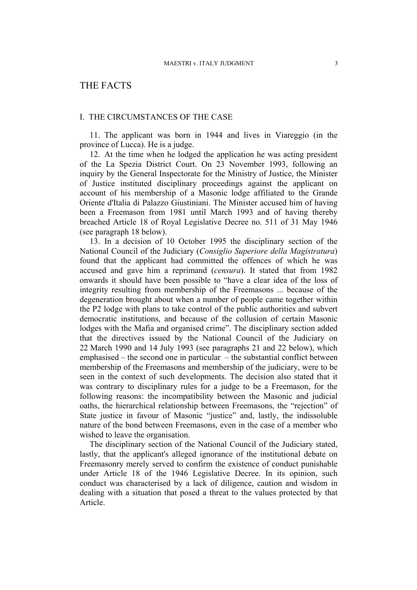## THE FACTS

#### I. THE CIRCUMSTANCES OF THE CASE

11. The applicant was born in 1944 and lives in Viareggio (in the province of Lucca). He is a judge.

12. At the time when he lodged the application he was acting president of the La Spezia District Court. On 23 November 1993, following an inquiry by the General Inspectorate for the Ministry of Justice, the Minister of Justice instituted disciplinary proceedings against the applicant on account of his membership of a Masonic lodge affiliated to the Grande Oriente d'Italia di Palazzo Giustiniani. The Minister accused him of having been a Freemason from 1981 until March 1993 and of having thereby breached Article 18 of Royal Legislative Decree no. 511 of 31 May 1946 (see paragraph 18 below).

13. In a decision of 10 October 1995 the disciplinary section of the National Council of the Judiciary (*Consiglio Superiore della Magistratura*) found that the applicant had committed the offences of which he was accused and gave him a reprimand (*censura*). It stated that from 1982 onwards it should have been possible to "have a clear idea of the loss of integrity resulting from membership of the Freemasons ... because of the degeneration brought about when a number of people came together within the P2 lodge with plans to take control of the public authorities and subvert democratic institutions, and because of the collusion of certain Masonic lodges with the Mafia and organised crime". The disciplinary section added that the directives issued by the National Council of the Judiciary on 22 March 1990 and 14 July 1993 (see paragraphs 21 and 22 below), which emphasised – the second one in particular – the substantial conflict between membership of the Freemasons and membership of the judiciary, were to be seen in the context of such developments. The decision also stated that it was contrary to disciplinary rules for a judge to be a Freemason, for the following reasons: the incompatibility between the Masonic and judicial oaths, the hierarchical relationship between Freemasons, the "rejection" of State justice in favour of Masonic "justice" and, lastly, the indissoluble nature of the bond between Freemasons, even in the case of a member who wished to leave the organisation.

The disciplinary section of the National Council of the Judiciary stated, lastly, that the applicant's alleged ignorance of the institutional debate on Freemasonry merely served to confirm the existence of conduct punishable under Article 18 of the 1946 Legislative Decree. In its opinion, such conduct was characterised by a lack of diligence, caution and wisdom in dealing with a situation that posed a threat to the values protected by that Article.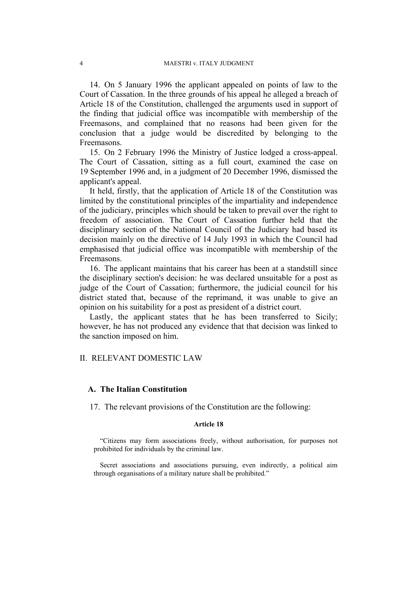14. On 5 January 1996 the applicant appealed on points of law to the Court of Cassation. In the three grounds of his appeal he alleged a breach of Article 18 of the Constitution, challenged the arguments used in support of the finding that judicial office was incompatible with membership of the Freemasons, and complained that no reasons had been given for the conclusion that a judge would be discredited by belonging to the Freemasons.

15. On 2 February 1996 the Ministry of Justice lodged a cross-appeal. The Court of Cassation, sitting as a full court, examined the case on 19 September 1996 and, in a judgment of 20 December 1996, dismissed the applicant's appeal.

It held, firstly, that the application of Article 18 of the Constitution was limited by the constitutional principles of the impartiality and independence of the judiciary, principles which should be taken to prevail over the right to freedom of association. The Court of Cassation further held that the disciplinary section of the National Council of the Judiciary had based its decision mainly on the directive of 14 July 1993 in which the Council had emphasised that judicial office was incompatible with membership of the Freemasons.

16. The applicant maintains that his career has been at a standstill since the disciplinary section's decision: he was declared unsuitable for a post as judge of the Court of Cassation; furthermore, the judicial council for his district stated that, because of the reprimand, it was unable to give an opinion on his suitability for a post as president of a district court.

Lastly, the applicant states that he has been transferred to Sicily; however, he has not produced any evidence that that decision was linked to the sanction imposed on him.

#### II. RELEVANT DOMESTIC LAW

#### **A. The Italian Constitution**

17. The relevant provisions of the Constitution are the following:

#### **Article 18**

"Citizens may form associations freely, without authorisation, for purposes not prohibited for individuals by the criminal law.

Secret associations and associations pursuing, even indirectly, a political aim through organisations of a military nature shall be prohibited."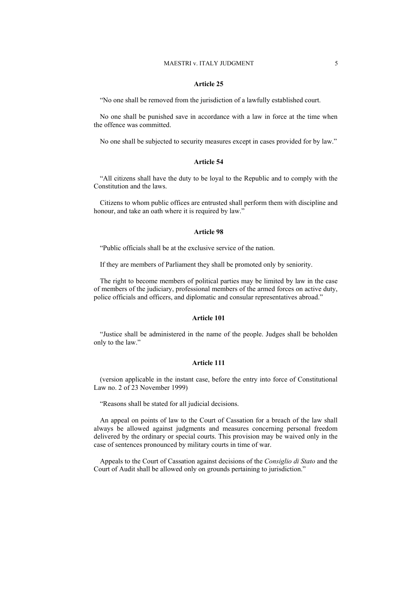#### MAESTRI v. ITALY JUDGMENT 5

#### **Article 25**

"No one shall be removed from the jurisdiction of a lawfully established court.

No one shall be punished save in accordance with a law in force at the time when the offence was committed.

No one shall be subjected to security measures except in cases provided for by law."

#### **Article 54**

"All citizens shall have the duty to be loyal to the Republic and to comply with the Constitution and the laws.

Citizens to whom public offices are entrusted shall perform them with discipline and honour, and take an oath where it is required by law."

#### **Article 98**

"Public officials shall be at the exclusive service of the nation.

If they are members of Parliament they shall be promoted only by seniority.

The right to become members of political parties may be limited by law in the case of members of the judiciary, professional members of the armed forces on active duty, police officials and officers, and diplomatic and consular representatives abroad."

#### **Article 101**

"Justice shall be administered in the name of the people. Judges shall be beholden only to the law."

#### **Article 111**

(version applicable in the instant case, before the entry into force of Constitutional Law no. 2 of 23 November 1999)

"Reasons shall be stated for all judicial decisions.

An appeal on points of law to the Court of Cassation for a breach of the law shall always be allowed against judgments and measures concerning personal freedom delivered by the ordinary or special courts. This provision may be waived only in the case of sentences pronounced by military courts in time of war.

Appeals to the Court of Cassation against decisions of the *Consiglio di Stato* and the Court of Audit shall be allowed only on grounds pertaining to jurisdiction."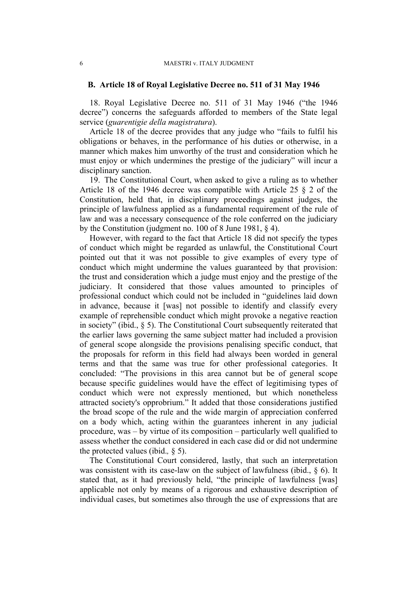#### **B. Article 18 of Royal Legislative Decree no. 511 of 31 May 1946**

18. Royal Legislative Decree no. 511 of 31 May 1946 ("the 1946 decree") concerns the safeguards afforded to members of the State legal service (*guarentigie della magistratura*).

Article 18 of the decree provides that any judge who "fails to fulfil his obligations or behaves, in the performance of his duties or otherwise, in a manner which makes him unworthy of the trust and consideration which he must enjoy or which undermines the prestige of the judiciary" will incur a disciplinary sanction.

19. The Constitutional Court, when asked to give a ruling as to whether Article 18 of the 1946 decree was compatible with Article 25 § 2 of the Constitution, held that, in disciplinary proceedings against judges, the principle of lawfulness applied as a fundamental requirement of the rule of law and was a necessary consequence of the role conferred on the judiciary by the Constitution (judgment no. 100 of 8 June 1981, § 4).

However, with regard to the fact that Article 18 did not specify the types of conduct which might be regarded as unlawful, the Constitutional Court pointed out that it was not possible to give examples of every type of conduct which might undermine the values guaranteed by that provision: the trust and consideration which a judge must enjoy and the prestige of the judiciary. It considered that those values amounted to principles of professional conduct which could not be included in "guidelines laid down in advance, because it [was] not possible to identify and classify every example of reprehensible conduct which might provoke a negative reaction in society" (ibid., § 5). The Constitutional Court subsequently reiterated that the earlier laws governing the same subject matter had included a provision of general scope alongside the provisions penalising specific conduct, that the proposals for reform in this field had always been worded in general terms and that the same was true for other professional categories. It concluded: "The provisions in this area cannot but be of general scope because specific guidelines would have the effect of legitimising types of conduct which were not expressly mentioned, but which nonetheless attracted society's opprobrium." It added that those considerations justified the broad scope of the rule and the wide margin of appreciation conferred on a body which, acting within the guarantees inherent in any judicial procedure, was – by virtue of its composition – particularly well qualified to assess whether the conduct considered in each case did or did not undermine the protected values (ibid.*,* § 5).

The Constitutional Court considered, lastly, that such an interpretation was consistent with its case-law on the subject of lawfulness (ibid., § 6). It stated that, as it had previously held, "the principle of lawfulness [was] applicable not only by means of a rigorous and exhaustive description of individual cases, but sometimes also through the use of expressions that are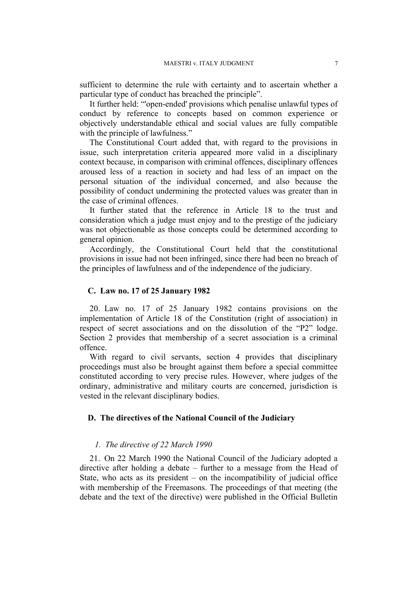sufficient to determine the rule with certainty and to ascertain whether a particular type of conduct has breached the principle".

It further held: "'open-ended' provisions which penalise unlawful types of conduct by reference to concepts based on common experience or objectively understandable ethical and social values are fully compatible with the principle of lawfulness."

The Constitutional Court added that, with regard to the provisions in issue, such interpretation criteria appeared more valid in a disciplinary context because, in comparison with criminal offences, disciplinary offences aroused less of a reaction in society and had less of an impact on the personal situation of the individual concerned, and also because the possibility of conduct undermining the protected values was greater than in the case of criminal offences.

It further stated that the reference in Article 18 to the trust and consideration which a judge must enjoy and to the prestige of the judiciary was not objectionable as those concepts could be determined according to general opinion.

Accordingly, the Constitutional Court held that the constitutional provisions in issue had not been infringed, since there had been no breach of the principles of lawfulness and of the independence of the judiciary.

#### **C. Law no. 17 of 25 January 1982**

20. Law no. 17 of 25 January 1982 contains provisions on the implementation of Article 18 of the Constitution (right of association) in respect of secret associations and on the dissolution of the "P2" lodge. Section 2 provides that membership of a secret association is a criminal offence.

With regard to civil servants, section 4 provides that disciplinary proceedings must also be brought against them before a special committee constituted according to very precise rules. However, where judges of the ordinary, administrative and military courts are concerned, jurisdiction is vested in the relevant disciplinary bodies.

#### **D. The directives of the National Council of the Judiciary**

#### *1. The directive of 22 March 1990*

21. On 22 March 1990 the National Council of the Judiciary adopted a directive after holding a debate – further to a message from the Head of State, who acts as its president – on the incompatibility of judicial office with membership of the Freemasons. The proceedings of that meeting (the debate and the text of the directive) were published in the Official Bulletin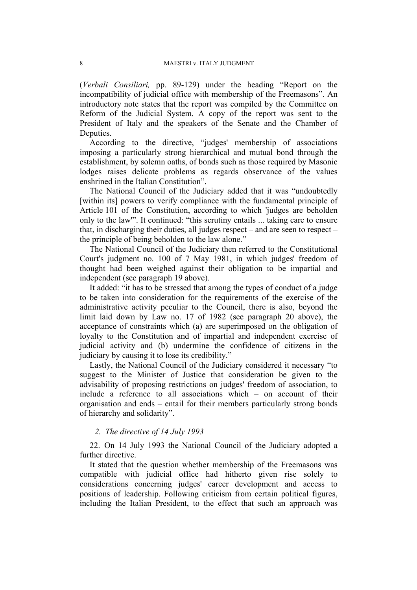(*Verbali Consiliari,* pp. 89-129) under the heading "Report on the incompatibility of judicial office with membership of the Freemasons". An introductory note states that the report was compiled by the Committee on Reform of the Judicial System. A copy of the report was sent to the President of Italy and the speakers of the Senate and the Chamber of Deputies.

According to the directive, "judges' membership of associations imposing a particularly strong hierarchical and mutual bond through the establishment, by solemn oaths, of bonds such as those required by Masonic lodges raises delicate problems as regards observance of the values enshrined in the Italian Constitution".

The National Council of the Judiciary added that it was "undoubtedly [within its] powers to verify compliance with the fundamental principle of Article 101 of the Constitution, according to which 'judges are beholden only to the law'". It continued: "this scrutiny entails ... taking care to ensure that, in discharging their duties, all judges respect – and are seen to respect – the principle of being beholden to the law alone."

The National Council of the Judiciary then referred to the Constitutional Court's judgment no. 100 of 7 May 1981, in which judges' freedom of thought had been weighed against their obligation to be impartial and independent (see paragraph 19 above).

It added: "it has to be stressed that among the types of conduct of a judge to be taken into consideration for the requirements of the exercise of the administrative activity peculiar to the Council, there is also, beyond the limit laid down by Law no. 17 of 1982 (see paragraph 20 above), the acceptance of constraints which (a) are superimposed on the obligation of loyalty to the Constitution and of impartial and independent exercise of judicial activity and (b) undermine the confidence of citizens in the judiciary by causing it to lose its credibility."

Lastly, the National Council of the Judiciary considered it necessary "to suggest to the Minister of Justice that consideration be given to the advisability of proposing restrictions on judges' freedom of association, to include a reference to all associations which – on account of their organisation and ends – entail for their members particularly strong bonds of hierarchy and solidarity".

#### *2. The directive of 14 July 1993*

22. On 14 July 1993 the National Council of the Judiciary adopted a further directive.

It stated that the question whether membership of the Freemasons was compatible with judicial office had hitherto given rise solely to considerations concerning judges' career development and access to positions of leadership. Following criticism from certain political figures, including the Italian President, to the effect that such an approach was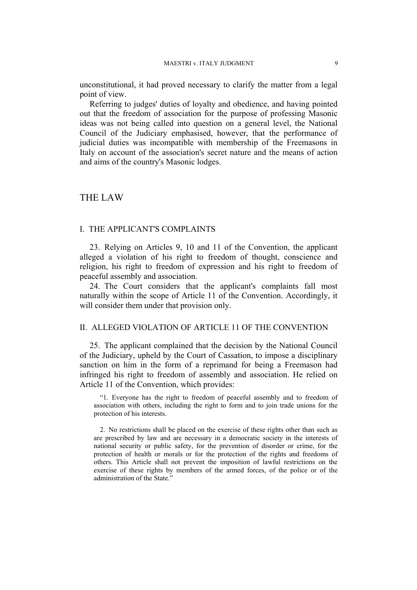unconstitutional, it had proved necessary to clarify the matter from a legal point of view.

Referring to judges' duties of loyalty and obedience, and having pointed out that the freedom of association for the purpose of professing Masonic ideas was not being called into question on a general level, the National Council of the Judiciary emphasised, however, that the performance of judicial duties was incompatible with membership of the Freemasons in Italy on account of the association's secret nature and the means of action and aims of the country's Masonic lodges.

#### THE LAW

#### I. THE APPLICANT'S COMPLAINTS

23. Relying on Articles 9, 10 and 11 of the Convention, the applicant alleged a violation of his right to freedom of thought, conscience and religion, his right to freedom of expression and his right to freedom of peaceful assembly and association.

24. The Court considers that the applicant's complaints fall most naturally within the scope of Article 11 of the Convention. Accordingly, it will consider them under that provision only.

#### II. ALLEGED VIOLATION OF ARTICLE 11 OF THE CONVENTION

25. The applicant complained that the decision by the National Council of the Judiciary, upheld by the Court of Cassation, to impose a disciplinary sanction on him in the form of a reprimand for being a Freemason had infringed his right to freedom of assembly and association. He relied on Article 11 of the Convention, which provides:

"1. Everyone has the right to freedom of peaceful assembly and to freedom of association with others, including the right to form and to join trade unions for the protection of his interests.

2. No restrictions shall be placed on the exercise of these rights other than such as are prescribed by law and are necessary in a democratic society in the interests of national security or public safety, for the prevention of disorder or crime, for the protection of health or morals or for the protection of the rights and freedoms of others. This Article shall not prevent the imposition of lawful restrictions on the exercise of these rights by members of the armed forces, of the police or of the administration of the State."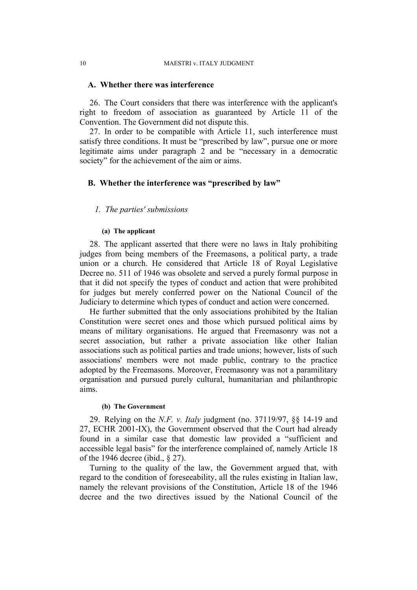#### **A. Whether there was interference**

26. The Court considers that there was interference with the applicant's right to freedom of association as guaranteed by Article 11 of the Convention. The Government did not dispute this.

27. In order to be compatible with Article 11, such interference must satisfy three conditions. It must be "prescribed by law", pursue one or more legitimate aims under paragraph 2 and be "necessary in a democratic society" for the achievement of the aim or aims.

#### **B. Whether the interference was "prescribed by law"**

#### *1. The parties' submissions*

#### **(a) The applicant**

28. The applicant asserted that there were no laws in Italy prohibiting judges from being members of the Freemasons, a political party, a trade union or a church. He considered that Article 18 of Royal Legislative Decree no. 511 of 1946 was obsolete and served a purely formal purpose in that it did not specify the types of conduct and action that were prohibited for judges but merely conferred power on the National Council of the Judiciary to determine which types of conduct and action were concerned.

He further submitted that the only associations prohibited by the Italian Constitution were secret ones and those which pursued political aims by means of military organisations. He argued that Freemasonry was not a secret association, but rather a private association like other Italian associations such as political parties and trade unions; however, lists of such associations' members were not made public, contrary to the practice adopted by the Freemasons. Moreover, Freemasonry was not a paramilitary organisation and pursued purely cultural, humanitarian and philanthropic aims.

#### **(b) The Government**

29. Relying on the *N.F. v. Italy* judgment (no. 37119/97, §§ 14-19 and 27, ECHR 2001-IX), the Government observed that the Court had already found in a similar case that domestic law provided a "sufficient and accessible legal basis" for the interference complained of, namely Article 18 of the 1946 decree (ibid., § 27).

Turning to the quality of the law, the Government argued that, with regard to the condition of foreseeability, all the rules existing in Italian law, namely the relevant provisions of the Constitution, Article 18 of the 1946 decree and the two directives issued by the National Council of the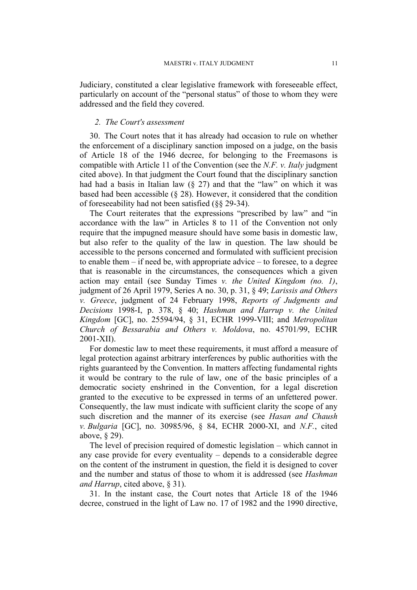Judiciary, constituted a clear legislative framework with foreseeable effect, particularly on account of the "personal status" of those to whom they were addressed and the field they covered.

#### *2. The Court's assessment*

30. The Court notes that it has already had occasion to rule on whether the enforcement of a disciplinary sanction imposed on a judge, on the basis of Article 18 of the 1946 decree, for belonging to the Freemasons is compatible with Article 11 of the Convention (see the *N.F. v. Italy* judgment cited above). In that judgment the Court found that the disciplinary sanction had had a basis in Italian law  $(\S 27)$  and that the "law" on which it was based had been accessible (§ 28). However, it considered that the condition of foreseeability had not been satisfied (§§ 29-34).

The Court reiterates that the expressions "prescribed by law" and "in accordance with the law" in Articles 8 to 11 of the Convention not only require that the impugned measure should have some basis in domestic law, but also refer to the quality of the law in question. The law should be accessible to the persons concerned and formulated with sufficient precision to enable them – if need be, with appropriate advice – to foresee, to a degree that is reasonable in the circumstances, the consequences which a given action may entail (see Sunday Times *v. the United Kingdom (no. 1)*, judgment of 26 April 1979, Series A no. 30, p. 31, § 49; *Larissis and Others v. Greece*, judgment of 24 February 1998, *Reports of Judgments and Decisions* 1998-I, p. 378, § 40; *Hashman and Harrup v. the United Kingdom* [GC], no. 25594/94, § 31, ECHR 1999-VIII; and *Metropolitan Church of Bessarabia and Others v. Moldova*, no. 45701/99, ECHR 2001-XII).

For domestic law to meet these requirements, it must afford a measure of legal protection against arbitrary interferences by public authorities with the rights guaranteed by the Convention. In matters affecting fundamental rights it would be contrary to the rule of law, one of the basic principles of a democratic society enshrined in the Convention, for a legal discretion granted to the executive to be expressed in terms of an unfettered power. Consequently, the law must indicate with sufficient clarity the scope of any such discretion and the manner of its exercise (see *Hasan and Chaush v. Bulgaria* [GC], no. 30985/96, § 84, ECHR 2000-XI, and *N.F.*, cited above, § 29).

The level of precision required of domestic legislation – which cannot in any case provide for every eventuality – depends to a considerable degree on the content of the instrument in question, the field it is designed to cover and the number and status of those to whom it is addressed (see *Hashman and Harrup*, cited above, § 31).

31. In the instant case, the Court notes that Article 18 of the 1946 decree, construed in the light of Law no. 17 of 1982 and the 1990 directive,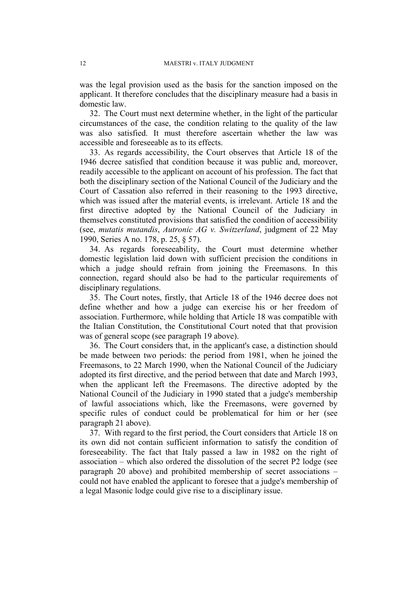was the legal provision used as the basis for the sanction imposed on the applicant. It therefore concludes that the disciplinary measure had a basis in domestic law.

32. The Court must next determine whether, in the light of the particular circumstances of the case, the condition relating to the quality of the law was also satisfied. It must therefore ascertain whether the law was accessible and foreseeable as to its effects.

33. As regards accessibility, the Court observes that Article 18 of the 1946 decree satisfied that condition because it was public and, moreover, readily accessible to the applicant on account of his profession. The fact that both the disciplinary section of the National Council of the Judiciary and the Court of Cassation also referred in their reasoning to the 1993 directive, which was issued after the material events, is irrelevant. Article 18 and the first directive adopted by the National Council of the Judiciary in themselves constituted provisions that satisfied the condition of accessibility (see, *mutatis mutandis*, *Autronic AG v. Switzerland*, judgment of 22 May 1990, Series A no. 178, p. 25, § 57).

34. As regards foreseeability, the Court must determine whether domestic legislation laid down with sufficient precision the conditions in which a judge should refrain from joining the Freemasons. In this connection, regard should also be had to the particular requirements of disciplinary regulations.

35. The Court notes, firstly, that Article 18 of the 1946 decree does not define whether and how a judge can exercise his or her freedom of association. Furthermore, while holding that Article 18 was compatible with the Italian Constitution, the Constitutional Court noted that that provision was of general scope (see paragraph 19 above).

36. The Court considers that, in the applicant's case, a distinction should be made between two periods: the period from 1981, when he joined the Freemasons, to 22 March 1990, when the National Council of the Judiciary adopted its first directive, and the period between that date and March 1993, when the applicant left the Freemasons. The directive adopted by the National Council of the Judiciary in 1990 stated that a judge's membership of lawful associations which, like the Freemasons, were governed by specific rules of conduct could be problematical for him or her (see paragraph 21 above).

37. With regard to the first period, the Court considers that Article 18 on its own did not contain sufficient information to satisfy the condition of foreseeability. The fact that Italy passed a law in 1982 on the right of association – which also ordered the dissolution of the secret P2 lodge (see paragraph 20 above) and prohibited membership of secret associations – could not have enabled the applicant to foresee that a judge's membership of a legal Masonic lodge could give rise to a disciplinary issue.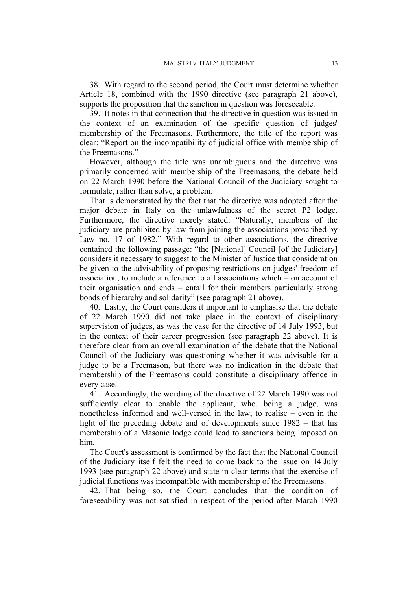38. With regard to the second period, the Court must determine whether Article 18, combined with the 1990 directive (see paragraph 21 above), supports the proposition that the sanction in question was foreseeable.

39. It notes in that connection that the directive in question was issued in the context of an examination of the specific question of judges' membership of the Freemasons. Furthermore, the title of the report was clear: "Report on the incompatibility of judicial office with membership of the Freemasons."

However, although the title was unambiguous and the directive was primarily concerned with membership of the Freemasons, the debate held on 22 March 1990 before the National Council of the Judiciary sought to formulate, rather than solve, a problem.

That is demonstrated by the fact that the directive was adopted after the major debate in Italy on the unlawfulness of the secret P2 lodge. Furthermore, the directive merely stated: "Naturally, members of the judiciary are prohibited by law from joining the associations proscribed by Law no. 17 of 1982." With regard to other associations, the directive contained the following passage: "the [National] Council [of the Judiciary] considers it necessary to suggest to the Minister of Justice that consideration be given to the advisability of proposing restrictions on judges' freedom of association, to include a reference to all associations which – on account of their organisation and ends – entail for their members particularly strong bonds of hierarchy and solidarity" (see paragraph 21 above).

40. Lastly, the Court considers it important to emphasise that the debate of 22 March 1990 did not take place in the context of disciplinary supervision of judges, as was the case for the directive of 14 July 1993, but in the context of their career progression (see paragraph 22 above). It is therefore clear from an overall examination of the debate that the National Council of the Judiciary was questioning whether it was advisable for a judge to be a Freemason, but there was no indication in the debate that membership of the Freemasons could constitute a disciplinary offence in every case.

41. Accordingly, the wording of the directive of 22 March 1990 was not sufficiently clear to enable the applicant, who, being a judge, was nonetheless informed and well-versed in the law, to realise – even in the light of the preceding debate and of developments since 1982 – that his membership of a Masonic lodge could lead to sanctions being imposed on him.

The Court's assessment is confirmed by the fact that the National Council of the Judiciary itself felt the need to come back to the issue on 14 July 1993 (see paragraph 22 above) and state in clear terms that the exercise of judicial functions was incompatible with membership of the Freemasons.

42. That being so, the Court concludes that the condition of foreseeability was not satisfied in respect of the period after March 1990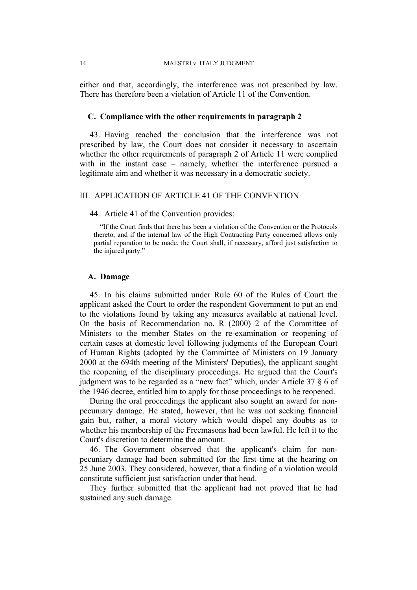either and that, accordingly, the interference was not prescribed by law. There has therefore been a violation of Article 11 of the Convention.

#### **C. Compliance with the other requirements in paragraph 2**

43. Having reached the conclusion that the interference was not prescribed by law, the Court does not consider it necessary to ascertain whether the other requirements of paragraph 2 of Article 11 were complied with in the instant case – namely, whether the interference pursued a legitimate aim and whether it was necessary in a democratic society.

#### III. APPLICATION OF ARTICLE 41 OF THE CONVENTION

#### 44. Article 41 of the Convention provides:

"If the Court finds that there has been a violation of the Convention or the Protocols thereto, and if the internal law of the High Contracting Party concerned allows only partial reparation to be made, the Court shall, if necessary, afford just satisfaction to the injured party."

#### **A. Damage**

45. In his claims submitted under Rule 60 of the Rules of Court the applicant asked the Court to order the respondent Government to put an end to the violations found by taking any measures available at national level. On the basis of Recommendation no. R (2000) 2 of the Committee of Ministers to the member States on the re-examination or reopening of certain cases at domestic level following judgments of the European Court of Human Rights (adopted by the Committee of Ministers on 19 January 2000 at the 694th meeting of the Ministers' Deputies), the applicant sought the reopening of the disciplinary proceedings. He argued that the Court's judgment was to be regarded as a "new fact" which, under Article 37 § 6 of the 1946 decree, entitled him to apply for those proceedings to be reopened.

During the oral proceedings the applicant also sought an award for nonpecuniary damage. He stated, however, that he was not seeking financial gain but, rather, a moral victory which would dispel any doubts as to whether his membership of the Freemasons had been lawful. He left it to the Court's discretion to determine the amount.

46. The Government observed that the applicant's claim for nonpecuniary damage had been submitted for the first time at the hearing on 25 June 2003. They considered, however, that a finding of a violation would constitute sufficient just satisfaction under that head.

They further submitted that the applicant had not proved that he had sustained any such damage.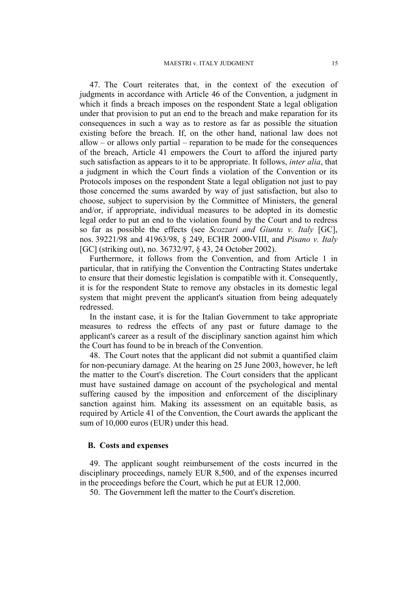47. The Court reiterates that, in the context of the execution of judgments in accordance with Article 46 of the Convention, a judgment in which it finds a breach imposes on the respondent State a legal obligation under that provision to put an end to the breach and make reparation for its consequences in such a way as to restore as far as possible the situation existing before the breach. If, on the other hand, national law does not allow – or allows only partial – reparation to be made for the consequences of the breach, Article 41 empowers the Court to afford the injured party such satisfaction as appears to it to be appropriate. It follows, *inter alia*, that a judgment in which the Court finds a violation of the Convention or its Protocols imposes on the respondent State a legal obligation not just to pay those concerned the sums awarded by way of just satisfaction, but also to choose, subject to supervision by the Committee of Ministers, the general and/or, if appropriate, individual measures to be adopted in its domestic legal order to put an end to the violation found by the Court and to redress so far as possible the effects (see *Scozzari and Giunta v. Italy* [GC], nos. 39221/98 and 41963/98, § 249, ECHR 2000-VIII, and *Pisano v. Italy*  [GC] (striking out), no. 36732/97, § 43, 24 October 2002).

Furthermore, it follows from the Convention, and from Article 1 in particular, that in ratifying the Convention the Contracting States undertake to ensure that their domestic legislation is compatible with it. Consequently, it is for the respondent State to remove any obstacles in its domestic legal system that might prevent the applicant's situation from being adequately redressed.

In the instant case, it is for the Italian Government to take appropriate measures to redress the effects of any past or future damage to the applicant's career as a result of the disciplinary sanction against him which the Court has found to be in breach of the Convention.

48. The Court notes that the applicant did not submit a quantified claim for non-pecuniary damage. At the hearing on 25 June 2003, however, he left the matter to the Court's discretion. The Court considers that the applicant must have sustained damage on account of the psychological and mental suffering caused by the imposition and enforcement of the disciplinary sanction against him. Making its assessment on an equitable basis, as required by Article 41 of the Convention, the Court awards the applicant the sum of 10,000 euros (EUR) under this head.

#### **B. Costs and expenses**

49. The applicant sought reimbursement of the costs incurred in the disciplinary proceedings, namely EUR 8,500, and of the expenses incurred in the proceedings before the Court, which he put at EUR 12,000.

50. The Government left the matter to the Court's discretion.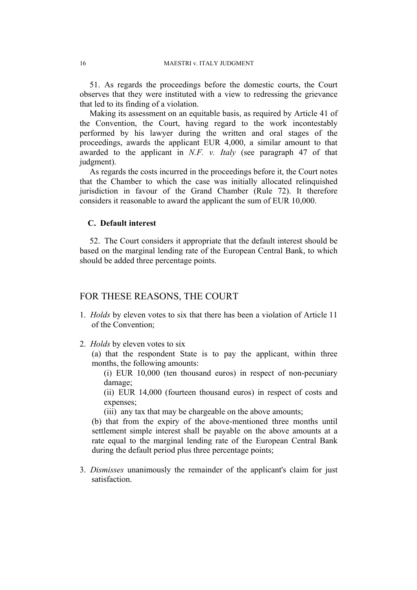51. As regards the proceedings before the domestic courts, the Court observes that they were instituted with a view to redressing the grievance that led to its finding of a violation.

Making its assessment on an equitable basis, as required by Article 41 of the Convention, the Court, having regard to the work incontestably performed by his lawyer during the written and oral stages of the proceedings, awards the applicant EUR 4,000, a similar amount to that awarded to the applicant in *N.F. v. Italy* (see paragraph 47 of that judgment).

As regards the costs incurred in the proceedings before it, the Court notes that the Chamber to which the case was initially allocated relinquished jurisdiction in favour of the Grand Chamber (Rule 72). It therefore considers it reasonable to award the applicant the sum of EUR 10,000.

#### **C. Default interest**

52. The Court considers it appropriate that the default interest should be based on the marginal lending rate of the European Central Bank, to which should be added three percentage points.

### FOR THESE REASONS, THE COURT

- 1. *Holds* by eleven votes to six that there has been a violation of Article 11 of the Convention;
- 2. *Holds* by eleven votes to six

(a) that the respondent State is to pay the applicant, within three months, the following amounts:

(i) EUR 10,000 (ten thousand euros) in respect of non-pecuniary damage;

(ii) EUR 14,000 (fourteen thousand euros) in respect of costs and expenses;

(iii) any tax that may be chargeable on the above amounts;

(b) that from the expiry of the above-mentioned three months until settlement simple interest shall be payable on the above amounts at a rate equal to the marginal lending rate of the European Central Bank during the default period plus three percentage points;

3. *Dismisses* unanimously the remainder of the applicant's claim for just satisfaction.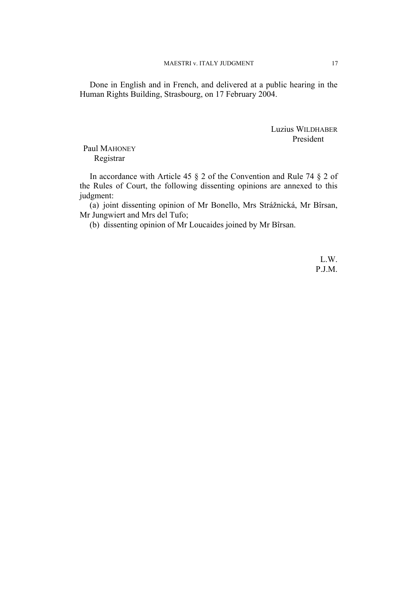Done in English and in French, and delivered at a public hearing in the Human Rights Building, Strasbourg, on 17 February 2004.

> Luzius WILDHABER President

 Paul MAHONEY Registrar

In accordance with Article 45 § 2 of the Convention and Rule 74 § 2 of the Rules of Court, the following dissenting opinions are annexed to this judgment:

(a) joint dissenting opinion of Mr Bonello, Mrs Strážnická, Mr Bîrsan, Mr Jungwiert and Mrs del Tufo;

(b) dissenting opinion of Mr Loucaides joined by Mr Bîrsan.

L.W. P.J.M.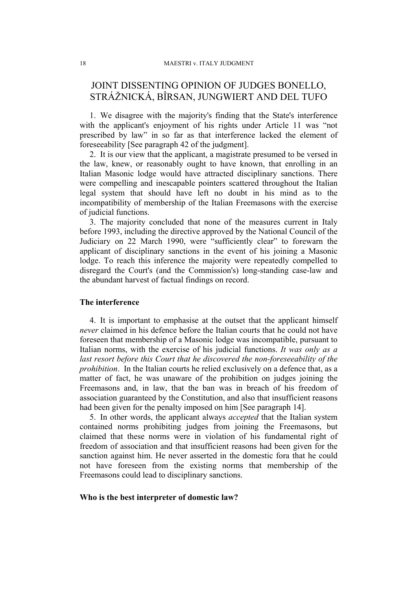# JOINT DISSENTING OPINION OF JUDGES BONELLO, STRÁŽNICKÁ, BÎRSAN, JUNGWIERT AND DEL TUFO

1. We disagree with the majority's finding that the State's interference with the applicant's enjoyment of his rights under Article 11 was "not prescribed by law" in so far as that interference lacked the element of foreseeability [See paragraph 42 of the judgment].

2. It is our view that the applicant, a magistrate presumed to be versed in the law, knew, or reasonably ought to have known, that enrolling in an Italian Masonic lodge would have attracted disciplinary sanctions. There were compelling and inescapable pointers scattered throughout the Italian legal system that should have left no doubt in his mind as to the incompatibility of membership of the Italian Freemasons with the exercise of judicial functions.

3. The majority concluded that none of the measures current in Italy before 1993, including the directive approved by the National Council of the Judiciary on 22 March 1990, were "sufficiently clear" to forewarn the applicant of disciplinary sanctions in the event of his joining a Masonic lodge. To reach this inference the majority were repeatedly compelled to disregard the Court's (and the Commission's) long-standing case-law and the abundant harvest of factual findings on record.

#### **The interference**

4. It is important to emphasise at the outset that the applicant himself *never* claimed in his defence before the Italian courts that he could not have foreseen that membership of a Masonic lodge was incompatible, pursuant to Italian norms, with the exercise of his judicial functions. *It was only as a last resort before this Court that he discovered the non-foreseeability of the prohibition*. In the Italian courts he relied exclusively on a defence that, as a matter of fact, he was unaware of the prohibition on judges joining the Freemasons and, in law, that the ban was in breach of his freedom of association guaranteed by the Constitution, and also that insufficient reasons had been given for the penalty imposed on him [See paragraph 14].

5. In other words, the applicant always *accepted* that the Italian system contained norms prohibiting judges from joining the Freemasons, but claimed that these norms were in violation of his fundamental right of freedom of association and that insufficient reasons had been given for the sanction against him. He never asserted in the domestic fora that he could not have foreseen from the existing norms that membership of the Freemasons could lead to disciplinary sanctions.

#### **Who is the best interpreter of domestic law?**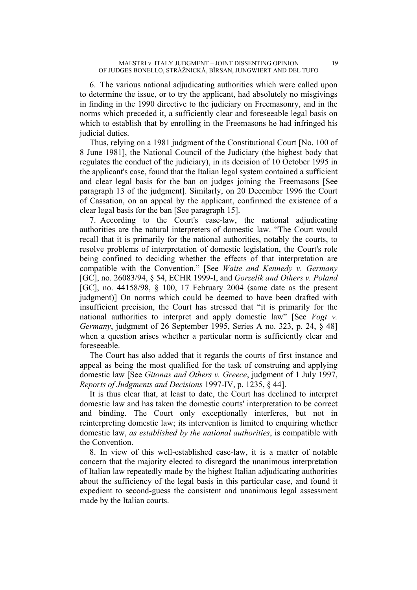6. The various national adjudicating authorities which were called upon to determine the issue, or to try the applicant, had absolutely no misgivings in finding in the 1990 directive to the judiciary on Freemasonry, and in the norms which preceded it, a sufficiently clear and foreseeable legal basis on which to establish that by enrolling in the Freemasons he had infringed his judicial duties.

Thus, relying on a 1981 judgment of the Constitutional Court [No. 100 of 8 June 1981], the National Council of the Judiciary (the highest body that regulates the conduct of the judiciary), in its decision of 10 October 1995 in the applicant's case, found that the Italian legal system contained a sufficient and clear legal basis for the ban on judges joining the Freemasons [See paragraph 13 of the judgment]. Similarly, on 20 December 1996 the Court of Cassation, on an appeal by the applicant, confirmed the existence of a clear legal basis for the ban [See paragraph 15].

7. According to the Court's case-law, the national adjudicating authorities are the natural interpreters of domestic law. "The Court would recall that it is primarily for the national authorities, notably the courts, to resolve problems of interpretation of domestic legislation, the Court's role being confined to deciding whether the effects of that interpretation are compatible with the Convention." [See *Waite and Kennedy v. Germany* [GC], no. 26083/94, § 54, ECHR 1999-I, and *Gorzelik and Others v. Poland* [GC], no. 44158/98, § 100, 17 February 2004 (same date as the present judgment)] On norms which could be deemed to have been drafted with insufficient precision, the Court has stressed that "it is primarily for the national authorities to interpret and apply domestic law" [See *Vogt v. Germany*, judgment of 26 September 1995, Series A no. 323, p. 24, § 48] when a question arises whether a particular norm is sufficiently clear and foreseeable.

The Court has also added that it regards the courts of first instance and appeal as being the most qualified for the task of construing and applying domestic law [See *Gitonas and Others v. Greece*, judgment of 1 July 1997, *Reports of Judgments and Decisions* 1997-IV, p. 1235, § 44].

It is thus clear that, at least to date, the Court has declined to interpret domestic law and has taken the domestic courts' interpretation to be correct and binding. The Court only exceptionally interferes, but not in reinterpreting domestic law; its intervention is limited to enquiring whether domestic law, *as established by the national authorities*, is compatible with the Convention.

8. In view of this well-established case-law, it is a matter of notable concern that the majority elected to disregard the unanimous interpretation of Italian law repeatedly made by the highest Italian adjudicating authorities about the sufficiency of the legal basis in this particular case, and found it expedient to second-guess the consistent and unanimous legal assessment made by the Italian courts.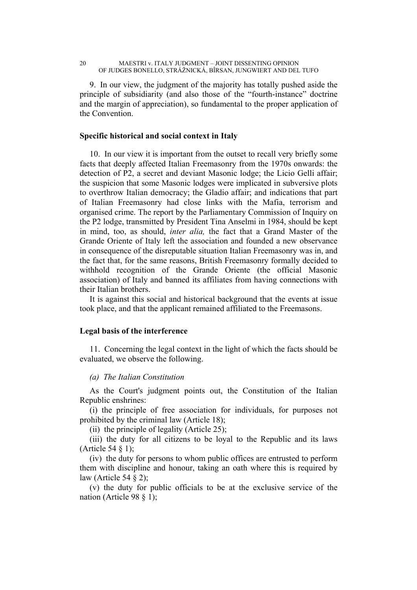20 MAESTRI v. ITALY JUDGMENT – JOINT DISSENTING OPINION OF JUDGES BONELLO, STRÁŽNICKÁ, BÎRSAN, JUNGWIERT AND DEL TUFO

9. In our view, the judgment of the majority has totally pushed aside the principle of subsidiarity (and also those of the "fourth-instance" doctrine and the margin of appreciation), so fundamental to the proper application of the Convention.

#### **Specific historical and social context in Italy**

10. In our view it is important from the outset to recall very briefly some facts that deeply affected Italian Freemasonry from the 1970s onwards: the detection of P2, a secret and deviant Masonic lodge; the Licio Gelli affair; the suspicion that some Masonic lodges were implicated in subversive plots to overthrow Italian democracy; the Gladio affair; and indications that part of Italian Freemasonry had close links with the Mafia, terrorism and organised crime. The report by the Parliamentary Commission of Inquiry on the P2 lodge, transmitted by President Tina Anselmi in 1984, should be kept in mind, too, as should, *inter alia,* the fact that a Grand Master of the Grande Oriente of Italy left the association and founded a new observance in consequence of the disreputable situation Italian Freemasonry was in, and the fact that, for the same reasons, British Freemasonry formally decided to withhold recognition of the Grande Oriente (the official Masonic association) of Italy and banned its affiliates from having connections with their Italian brothers.

It is against this social and historical background that the events at issue took place, and that the applicant remained affiliated to the Freemasons.

#### **Legal basis of the interference**

11. Concerning the legal context in the light of which the facts should be evaluated, we observe the following.

#### *(a) The Italian Constitution*

As the Court's judgment points out, the Constitution of the Italian Republic enshrines:

(i) the principle of free association for individuals, for purposes not prohibited by the criminal law (Article 18);

(ii) the principle of legality (Article 25);

(iii) the duty for all citizens to be loyal to the Republic and its laws (Article 54 § 1);

(iv) the duty for persons to whom public offices are entrusted to perform them with discipline and honour, taking an oath where this is required by law (Article 54 § 2);

(v) the duty for public officials to be at the exclusive service of the nation (Article 98 § 1);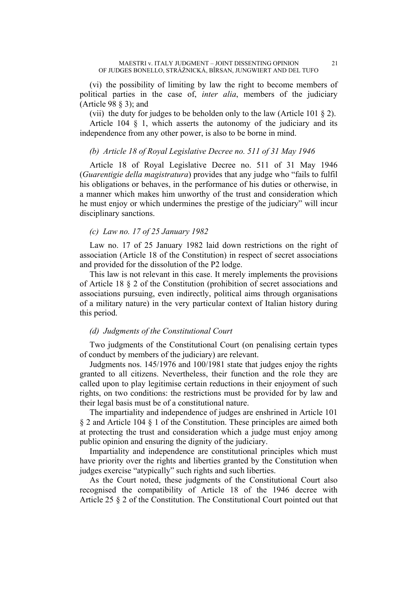(vi) the possibility of limiting by law the right to become members of political parties in the case of, *inter alia*, members of the judiciary (Article 98 § 3); and

(vii) the duty for judges to be beholden only to the law (Article 101 § 2).

Article 104 § 1, which asserts the autonomy of the judiciary and its independence from any other power, is also to be borne in mind.

#### *(b) Article 18 of Royal Legislative Decree no. 511 of 31 May 1946*

Article 18 of Royal Legislative Decree no. 511 of 31 May 1946 (*Guarentigie della magistratura*) provides that any judge who "fails to fulfil his obligations or behaves, in the performance of his duties or otherwise, in a manner which makes him unworthy of the trust and consideration which he must enjoy or which undermines the prestige of the judiciary" will incur disciplinary sanctions.

#### *(c) Law no. 17 of 25 January 1982*

Law no. 17 of 25 January 1982 laid down restrictions on the right of association (Article 18 of the Constitution) in respect of secret associations and provided for the dissolution of the P2 lodge.

This law is not relevant in this case. It merely implements the provisions of Article 18 § 2 of the Constitution (prohibition of secret associations and associations pursuing, even indirectly, political aims through organisations of a military nature) in the very particular context of Italian history during this period.

#### *(d) Judgments of the Constitutional Court*

Two judgments of the Constitutional Court (on penalising certain types of conduct by members of the judiciary) are relevant.

Judgments nos. 145/1976 and 100/1981 state that judges enjoy the rights granted to all citizens. Nevertheless, their function and the role they are called upon to play legitimise certain reductions in their enjoyment of such rights, on two conditions: the restrictions must be provided for by law and their legal basis must be of a constitutional nature.

The impartiality and independence of judges are enshrined in Article 101 § 2 and Article 104 § 1 of the Constitution. These principles are aimed both at protecting the trust and consideration which a judge must enjoy among public opinion and ensuring the dignity of the judiciary.

Impartiality and independence are constitutional principles which must have priority over the rights and liberties granted by the Constitution when judges exercise "atypically" such rights and such liberties.

As the Court noted, these judgments of the Constitutional Court also recognised the compatibility of Article 18 of the 1946 decree with Article 25 § 2 of the Constitution. The Constitutional Court pointed out that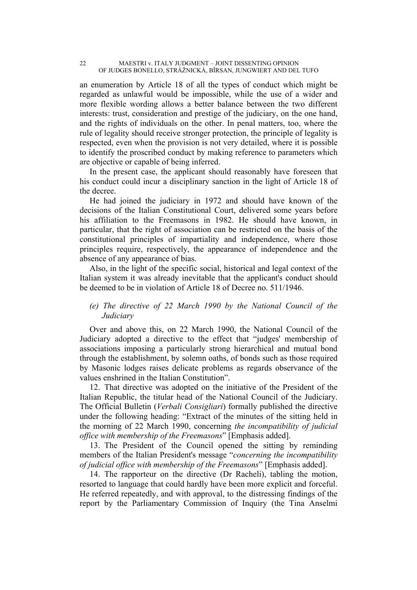#### 22 MAESTRI v. ITALY JUDGMENT – JOINT DISSENTING OPINION OF JUDGES BONELLO, STRÁŽNICKÁ, BÎRSAN, JUNGWIERT AND DEL TUFO

an enumeration by Article 18 of all the types of conduct which might be regarded as unlawful would be impossible, while the use of a wider and more flexible wording allows a better balance between the two different interests: trust, consideration and prestige of the judiciary, on the one hand, and the rights of individuals on the other. In penal matters, too, where the rule of legality should receive stronger protection, the principle of legality is respected, even when the provision is not very detailed, where it is possible to identify the proscribed conduct by making reference to parameters which are objective or capable of being inferred.

In the present case, the applicant should reasonably have foreseen that his conduct could incur a disciplinary sanction in the light of Article 18 of the decree.

He had joined the judiciary in 1972 and should have known of the decisions of the Italian Constitutional Court, delivered some years before his affiliation to the Freemasons in 1982. He should have known, in particular, that the right of association can be restricted on the basis of the constitutional principles of impartiality and independence, where those principles require, respectively, the appearance of independence and the absence of any appearance of bias.

Also, in the light of the specific social, historical and legal context of the Italian system it was already inevitable that the applicant's conduct should be deemed to be in violation of Article 18 of Decree no. 511/1946.

### *(e) The directive of 22 March 1990 by the National Council of the Judiciary*

Over and above this, on 22 March 1990, the National Council of the Judiciary adopted a directive to the effect that "judges' membership of associations imposing a particularly strong hierarchical and mutual bond through the establishment, by solemn oaths, of bonds such as those required by Masonic lodges raises delicate problems as regards observance of the values enshrined in the Italian Constitution".

12. That directive was adopted on the initiative of the President of the Italian Republic, the titular head of the National Council of the Judiciary. The Official Bulletin (*Verbali Consigliari*) formally published the directive under the following heading: "Extract of the minutes of the sitting held in the morning of 22 March 1990, concerning *the incompatibility of judicial office with membership of the Freemasons*" [Emphasis added].

13. The President of the Council opened the sitting by reminding members of the Italian President's message "*concerning the incompatibility of judicial office with membership of the Freemasons*" [Emphasis added].

14. The rapporteur on the directive (Dr Racheli), tabling the motion, resorted to language that could hardly have been more explicit and forceful. He referred repeatedly, and with approval, to the distressing findings of the report by the Parliamentary Commission of Inquiry (the Tina Anselmi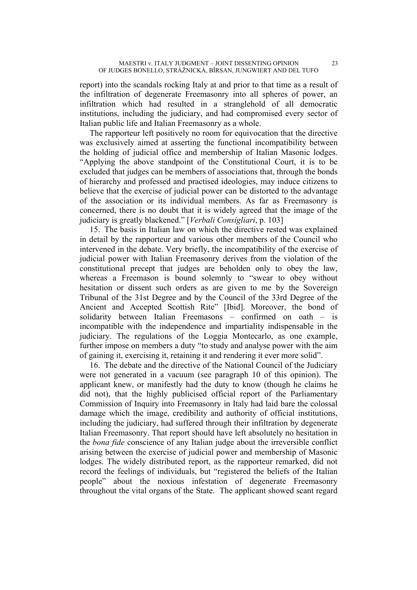report) into the scandals rocking Italy at and prior to that time as a result of the infiltration of degenerate Freemasonry into all spheres of power, an infiltration which had resulted in a stranglehold of all democratic institutions, including the judiciary, and had compromised every sector of Italian public life and Italian Freemasonry as a whole.

The rapporteur left positively no room for equivocation that the directive was exclusively aimed at asserting the functional incompatibility between the holding of judicial office and membership of Italian Masonic lodges. "Applying the above standpoint of the Constitutional Court, it is to be excluded that judges can be members of associations that, through the bonds of hierarchy and professed and practised ideologies, may induce citizens to believe that the exercise of judicial power can be distorted to the advantage of the association or its individual members. As far as Freemasonry is concerned, there is no doubt that it is widely agreed that the image of the judiciary is greatly blackened." [*Verbali Consigliari*, p. 103]

15. The basis in Italian law on which the directive rested was explained in detail by the rapporteur and various other members of the Council who intervened in the debate. Very briefly, the incompatibility of the exercise of judicial power with Italian Freemasonry derives from the violation of the constitutional precept that judges are beholden only to obey the law, whereas a Freemason is bound solemnly to "swear to obey without hesitation or dissent such orders as are given to me by the Sovereign Tribunal of the 31st Degree and by the Council of the 33rd Degree of the Ancient and Accepted Scottish Rite" [Ibid]. Moreover, the bond of solidarity between Italian Freemasons – confirmed on oath – is incompatible with the independence and impartiality indispensable in the judiciary. The regulations of the Loggia Montecarlo, as one example, further impose on members a duty "to study and analyse power with the aim of gaining it, exercising it, retaining it and rendering it ever more solid".

16. The debate and the directive of the National Council of the Judiciary were not generated in a vacuum (see paragraph 10 of this opinion). The applicant knew, or manifestly had the duty to know (though he claims he did not), that the highly publicised official report of the Parliamentary Commission of Inquiry into Freemasonry in Italy had laid bare the colossal damage which the image, credibility and authority of official institutions, including the judiciary, had suffered through their infiltration by degenerate Italian Freemasonry. That report should have left absolutely no hesitation in the *bona fide* conscience of any Italian judge about the irreversible conflict arising between the exercise of judicial power and membership of Masonic lodges. The widely distributed report, as the rapporteur remarked, did not record the feelings of individuals, but "registered the beliefs of the Italian people" about the noxious infestation of degenerate Freemasonry throughout the vital organs of the State. The applicant showed scant regard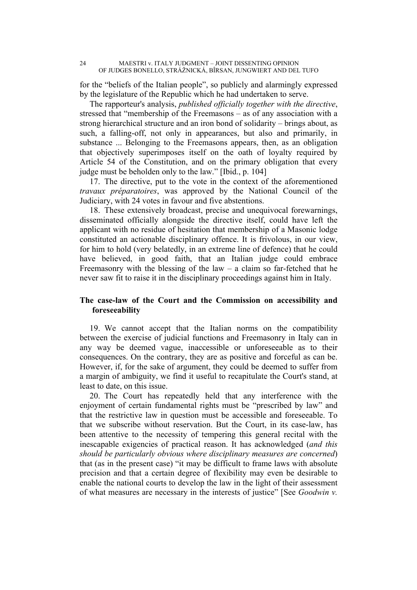#### 24 MAESTRI v. ITALY JUDGMENT – JOINT DISSENTING OPINION OF JUDGES BONELLO, STRÁŽNICKÁ, BÎRSAN, JUNGWIERT AND DEL TUFO

for the "beliefs of the Italian people", so publicly and alarmingly expressed by the legislature of the Republic which he had undertaken to serve.

The rapporteur's analysis, *published officially together with the directive*, stressed that "membership of the Freemasons – as of any association with a strong hierarchical structure and an iron bond of solidarity – brings about, as such, a falling-off, not only in appearances, but also and primarily, in substance ... Belonging to the Freemasons appears, then, as an obligation that objectively superimposes itself on the oath of loyalty required by Article 54 of the Constitution, and on the primary obligation that every judge must be beholden only to the law." [Ibid., p. 104]

17. The directive, put to the vote in the context of the aforementioned *travaux préparatoires*, was approved by the National Council of the Judiciary, with 24 votes in favour and five abstentions.

18. These extensively broadcast, precise and unequivocal forewarnings, disseminated officially alongside the directive itself, could have left the applicant with no residue of hesitation that membership of a Masonic lodge constituted an actionable disciplinary offence. It is frivolous, in our view, for him to hold (very belatedly, in an extreme line of defence) that he could have believed, in good faith, that an Italian judge could embrace Freemasonry with the blessing of the law  $-$  a claim so far-fetched that he never saw fit to raise it in the disciplinary proceedings against him in Italy.

#### **The case-law of the Court and the Commission on accessibility and foreseeability**

19. We cannot accept that the Italian norms on the compatibility between the exercise of judicial functions and Freemasonry in Italy can in any way be deemed vague, inaccessible or unforeseeable as to their consequences. On the contrary, they are as positive and forceful as can be. However, if, for the sake of argument, they could be deemed to suffer from a margin of ambiguity, we find it useful to recapitulate the Court's stand, at least to date, on this issue.

20. The Court has repeatedly held that any interference with the enjoyment of certain fundamental rights must be "prescribed by law" and that the restrictive law in question must be accessible and foreseeable. To that we subscribe without reservation. But the Court, in its case-law, has been attentive to the necessity of tempering this general recital with the inescapable exigencies of practical reason. It has acknowledged (*and this should be particularly obvious where disciplinary measures are concerned*) that (as in the present case) "it may be difficult to frame laws with absolute precision and that a certain degree of flexibility may even be desirable to enable the national courts to develop the law in the light of their assessment of what measures are necessary in the interests of justice" [See *Goodwin v.*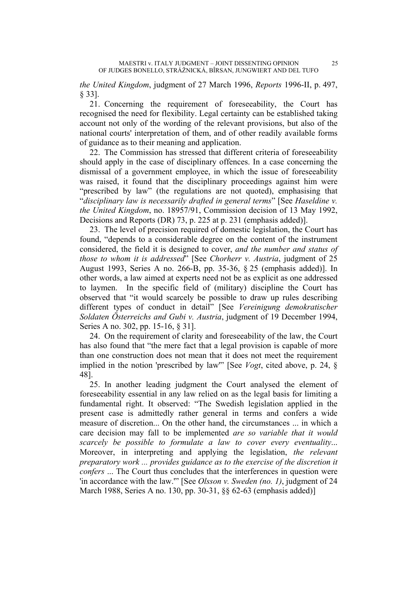*the United Kingdom*, judgment of 27 March 1996, *Reports* 1996-II, p. 497, § 33].

21. Concerning the requirement of foreseeability, the Court has recognised the need for flexibility. Legal certainty can be established taking account not only of the wording of the relevant provisions, but also of the national courts' interpretation of them, and of other readily available forms of guidance as to their meaning and application.

22. The Commission has stressed that different criteria of foreseeability should apply in the case of disciplinary offences. In a case concerning the dismissal of a government employee, in which the issue of foreseeability was raised, it found that the disciplinary proceedings against him were "prescribed by law" (the regulations are not quoted), emphasising that "*disciplinary law is necessarily drafted in general terms*" [See *Haseldine v. the United Kingdom*, no. 18957/91, Commission decision of 13 May 1992, Decisions and Reports (DR) 73, p. 225 at p. 231 (emphasis added)].

23. The level of precision required of domestic legislation, the Court has found, "depends to a considerable degree on the content of the instrument considered, the field it is designed to cover, *and the number and status of those to whom it is addressed*" [See *Chorherr v. Austria*, judgment of 25 August 1993, Series A no. 266-B, pp. 35-36, § 25 (emphasis added)]. In other words, a law aimed at experts need not be as explicit as one addressed to laymen. In the specific field of (military) discipline the Court has observed that "it would scarcely be possible to draw up rules describing different types of conduct in detail" [See *Vereinigung demokratischer Soldaten Österreichs and Gubi v. Austria*, judgment of 19 December 1994, Series A no. 302, pp. 15-16, § 31].

24. On the requirement of clarity and foreseeability of the law, the Court has also found that "the mere fact that a legal provision is capable of more than one construction does not mean that it does not meet the requirement implied in the notion 'prescribed by law'" [See *Vogt*, cited above, p. 24, § 48].

25. In another leading judgment the Court analysed the element of foreseeability essential in any law relied on as the legal basis for limiting a fundamental right. It observed: "The Swedish legislation applied in the present case is admittedly rather general in terms and confers a wide measure of discretion... On the other hand, the circumstances ... in which a care decision may fall to be implemented *are so variable that it would scarcely be possible to formulate a law to cover every eventuality*... Moreover, in interpreting and applying the legislation, *the relevant preparatory work ... provides guidance as to the exercise of the discretion it confers* ... The Court thus concludes that the interferences in question were 'in accordance with the law.'" [See *Olsson v. Sweden (no. 1)*, judgment of 24 March 1988, Series A no. 130, pp. 30-31, §§ 62-63 (emphasis added)]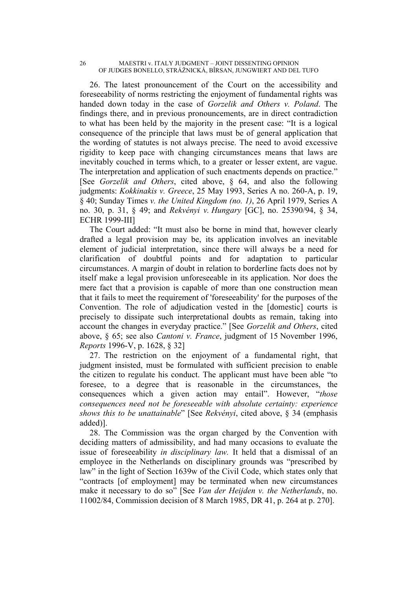#### 26 MAESTRI v. ITALY JUDGMENT – JOINT DISSENTING OPINION OF JUDGES BONELLO, STRÁŽNICKÁ, BÎRSAN, JUNGWIERT AND DEL TUFO

26. The latest pronouncement of the Court on the accessibility and foreseeability of norms restricting the enjoyment of fundamental rights was handed down today in the case of *Gorzelik and Others v. Poland*. The findings there, and in previous pronouncements, are in direct contradiction to what has been held by the majority in the present case: "It is a logical consequence of the principle that laws must be of general application that the wording of statutes is not always precise. The need to avoid excessive rigidity to keep pace with changing circumstances means that laws are inevitably couched in terms which, to a greater or lesser extent, are vague. The interpretation and application of such enactments depends on practice." [See *Gorzelik and Others*, cited above, § 64, and also the following judgments: *Kokkinakis v. Greece*, 25 May 1993, Series A no. 260-A, p. 19, § 40; Sunday Times *v. the United Kingdom (no. 1)*, 26 April 1979, Series A no. 30, p. 31, § 49; and *Rekvényi v. Hungary* [GC], no. 25390/94, § 34, ECHR 1999-III]

The Court added: "It must also be borne in mind that, however clearly drafted a legal provision may be, its application involves an inevitable element of judicial interpretation, since there will always be a need for clarification of doubtful points and for adaptation to particular circumstances. A margin of doubt in relation to borderline facts does not by itself make a legal provision unforeseeable in its application. Nor does the mere fact that a provision is capable of more than one construction mean that it fails to meet the requirement of 'foreseeability' for the purposes of the Convention. The role of adjudication vested in the [domestic] courts is precisely to dissipate such interpretational doubts as remain, taking into account the changes in everyday practice." [See *Gorzelik and Others*, cited above, § 65; see also *Cantoni v. France*, judgment of 15 November 1996, *Reports* 1996-V, p. 1628, § 32]

27. The restriction on the enjoyment of a fundamental right, that judgment insisted, must be formulated with sufficient precision to enable the citizen to regulate his conduct. The applicant must have been able "to foresee, to a degree that is reasonable in the circumstances, the consequences which a given action may entail". However, "*those consequences need not be foreseeable with absolute certainty: experience shows this to be unattainable*" [See *Rekvényi*, cited above, § 34 (emphasis added)].

28. The Commission was the organ charged by the Convention with deciding matters of admissibility, and had many occasions to evaluate the issue of foreseeability *in disciplinary law.* It held that a dismissal of an employee in the Netherlands on disciplinary grounds was "prescribed by law" in the light of Section 1639w of the Civil Code, which states only that "contracts [of employment] may be terminated when new circumstances make it necessary to do so" [See *Van der Heijden v. the Netherlands*, no. 11002/84, Commission decision of 8 March 1985, DR 41, p. 264 at p. 270].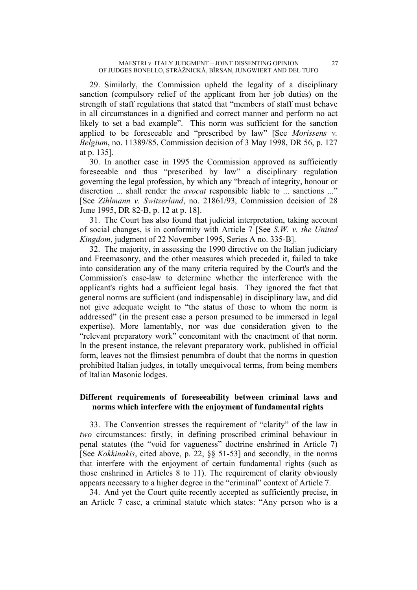29. Similarly, the Commission upheld the legality of a disciplinary sanction (compulsory relief of the applicant from her job duties) on the strength of staff regulations that stated that "members of staff must behave in all circumstances in a dignified and correct manner and perform no act likely to set a bad example". This norm was sufficient for the sanction applied to be foreseeable and "prescribed by law" [See *Morissens v. Belgium*, no. 11389/85, Commission decision of 3 May 1998, DR 56, p. 127 at p. 135].

30. In another case in 1995 the Commission approved as sufficiently foreseeable and thus "prescribed by law" a disciplinary regulation governing the legal profession, by which any "breach of integrity, honour or discretion ... shall render the *avocat* responsible liable to ... sanctions ..." [See *Zihlmann v. Switzerland*, no. 21861/93, Commission decision of 28 June 1995, DR 82-B, p. 12 at p. 18].

31. The Court has also found that judicial interpretation, taking account of social changes, is in conformity with Article 7 [See *S.W. v. the United Kingdom*, judgment of 22 November 1995, Series A no. 335-B].

32. The majority, in assessing the 1990 directive on the Italian judiciary and Freemasonry, and the other measures which preceded it, failed to take into consideration any of the many criteria required by the Court's and the Commission's case-law to determine whether the interference with the applicant's rights had a sufficient legal basis. They ignored the fact that general norms are sufficient (and indispensable) in disciplinary law, and did not give adequate weight to "the status of those to whom the norm is addressed" (in the present case a person presumed to be immersed in legal expertise). More lamentably, nor was due consideration given to the "relevant preparatory work" concomitant with the enactment of that norm. In the present instance, the relevant preparatory work, published in official form, leaves not the flimsiest penumbra of doubt that the norms in question prohibited Italian judges, in totally unequivocal terms, from being members of Italian Masonic lodges.

#### **Different requirements of foreseeability between criminal laws and norms which interfere with the enjoyment of fundamental rights**

33. The Convention stresses the requirement of "clarity" of the law in *two* circumstances: firstly, in defining proscribed criminal behaviour in penal statutes (the "void for vagueness" doctrine enshrined in Article 7) [See *Kokkinakis*, cited above, p. 22, §§ 51-53] and secondly, in the norms that interfere with the enjoyment of certain fundamental rights (such as those enshrined in Articles 8 to 11). The requirement of clarity obviously appears necessary to a higher degree in the "criminal" context of Article 7.

34. And yet the Court quite recently accepted as sufficiently precise, in an Article 7 case, a criminal statute which states: "Any person who is a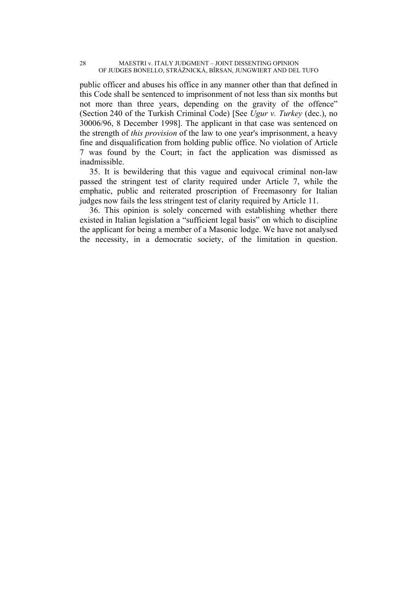#### 28 MAESTRI v. ITALY JUDGMENT – JOINT DISSENTING OPINION OF JUDGES BONELLO, STRÁŽNICKÁ, BÎRSAN, JUNGWIERT AND DEL TUFO

public officer and abuses his office in any manner other than that defined in this Code shall be sentenced to imprisonment of not less than six months but not more than three years, depending on the gravity of the offence" (Section 240 of the Turkish Criminal Code) [See *Ugur v. Turkey* (dec.), no 30006/96, 8 December 1998]. The applicant in that case was sentenced on the strength of *this provision* of the law to one year's imprisonment, a heavy fine and disqualification from holding public office. No violation of Article 7 was found by the Court; in fact the application was dismissed as inadmissible.

35. It is bewildering that this vague and equivocal criminal non-law passed the stringent test of clarity required under Article 7, while the emphatic, public and reiterated proscription of Freemasonry for Italian judges now fails the less stringent test of clarity required by Article 11.

36. This opinion is solely concerned with establishing whether there existed in Italian legislation a "sufficient legal basis" on which to discipline the applicant for being a member of a Masonic lodge. We have not analysed the necessity, in a democratic society, of the limitation in question.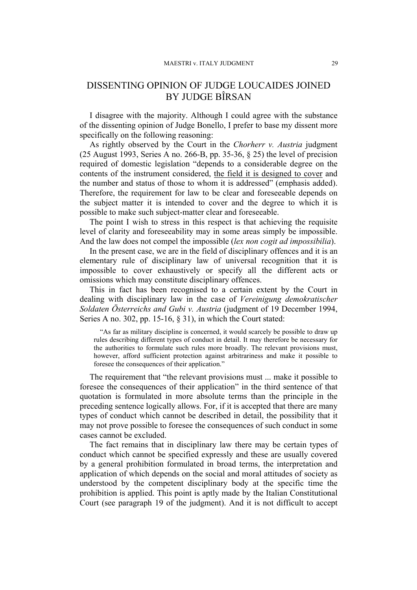# DISSENTING OPINION OF JUDGE LOUCAIDES JOINED BY JUDGE BÎRSAN

I disagree with the majority. Although I could agree with the substance of the dissenting opinion of Judge Bonello, I prefer to base my dissent more specifically on the following reasoning:

As rightly observed by the Court in the *Chorherr v. Austria* judgment (25 August 1993, Series A no. 266-B, pp. 35-36, § 25) the level of precision required of domestic legislation "depends to a considerable degree on the contents of the instrument considered, the field it is designed to cover and the number and status of those to whom it is addressed" (emphasis added). Therefore, the requirement for law to be clear and foreseeable depends on the subject matter it is intended to cover and the degree to which it is possible to make such subject-matter clear and foreseeable.

The point I wish to stress in this respect is that achieving the requisite level of clarity and foreseeability may in some areas simply be impossible. And the law does not compel the impossible (*lex non cogit ad impossibilia*).

In the present case, we are in the field of disciplinary offences and it is an elementary rule of disciplinary law of universal recognition that it is impossible to cover exhaustively or specify all the different acts or omissions which may constitute disciplinary offences.

This in fact has been recognised to a certain extent by the Court in dealing with disciplinary law in the case of *Vereinigung demokratischer Soldaten Österreichs and Gubi v. Austria* (judgment of 19 December 1994, Series A no. 302, pp. 15-16,  $\S$  31), in which the Court stated:

"As far as military discipline is concerned, it would scarcely be possible to draw up rules describing different types of conduct in detail. It may therefore be necessary for the authorities to formulate such rules more broadly. The relevant provisions must, however, afford sufficient protection against arbitrariness and make it possible to foresee the consequences of their application."

The requirement that "the relevant provisions must ... make it possible to foresee the consequences of their application" in the third sentence of that quotation is formulated in more absolute terms than the principle in the preceding sentence logically allows. For, if it is accepted that there are many types of conduct which cannot be described in detail, the possibility that it may not prove possible to foresee the consequences of such conduct in some cases cannot be excluded.

The fact remains that in disciplinary law there may be certain types of conduct which cannot be specified expressly and these are usually covered by a general prohibition formulated in broad terms, the interpretation and application of which depends on the social and moral attitudes of society as understood by the competent disciplinary body at the specific time the prohibition is applied. This point is aptly made by the Italian Constitutional Court (see paragraph 19 of the judgment). And it is not difficult to accept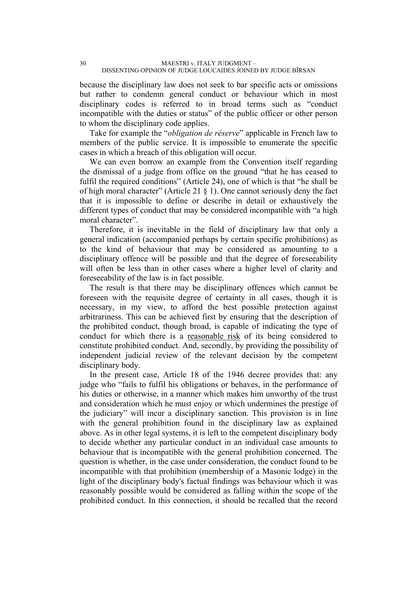because the disciplinary law does not seek to bar specific acts or omissions but rather to condemn general conduct or behaviour which in most disciplinary codes is referred to in broad terms such as "conduct incompatible with the duties or status" of the public officer or other person to whom the disciplinary code applies.

Take for example the "*obligation de réserve*" applicable in French law to members of the public service. It is impossible to enumerate the specific cases in which a breach of this obligation will occur.

We can even borrow an example from the Convention itself regarding the dismissal of a judge from office on the ground "that he has ceased to fulfil the required conditions" (Article 24), one of which is that "he shall be of high moral character" (Article 21 § 1). One cannot seriously deny the fact that it is impossible to define or describe in detail or exhaustively the different types of conduct that may be considered incompatible with "a high moral character".

Therefore, it is inevitable in the field of disciplinary law that only a general indication (accompanied perhaps by certain specific prohibitions) as to the kind of behaviour that may be considered as amounting to a disciplinary offence will be possible and that the degree of foreseeability will often be less than in other cases where a higher level of clarity and foreseeability of the law is in fact possible.

The result is that there may be disciplinary offences which cannot be foreseen with the requisite degree of certainty in all cases, though it is necessary, in my view, to afford the best possible protection against arbitrariness. This can be achieved first by ensuring that the description of the prohibited conduct, though broad, is capable of indicating the type of conduct for which there is a reasonable risk of its being considered to constitute prohibited conduct. And, secondly, by providing the possibility of independent judicial review of the relevant decision by the competent disciplinary body.

In the present case, Article 18 of the 1946 decree provides that: any judge who "fails to fulfil his obligations or behaves, in the performance of his duties or otherwise, in a manner which makes him unworthy of the trust and consideration which he must enjoy or which undermines the prestige of the judiciary" will incur a disciplinary sanction. This provision is in line with the general prohibition found in the disciplinary law as explained above. As in other legal systems, it is left to the competent disciplinary body to decide whether any particular conduct in an individual case amounts to behaviour that is incompatible with the general prohibition concerned. The question is whether, in the case under consideration, the conduct found to be incompatible with that prohibition (membership of a Masonic lodge) in the light of the disciplinary body's factual findings was behaviour which it was reasonably possible would be considered as falling within the scope of the prohibited conduct. In this connection, it should be recalled that the record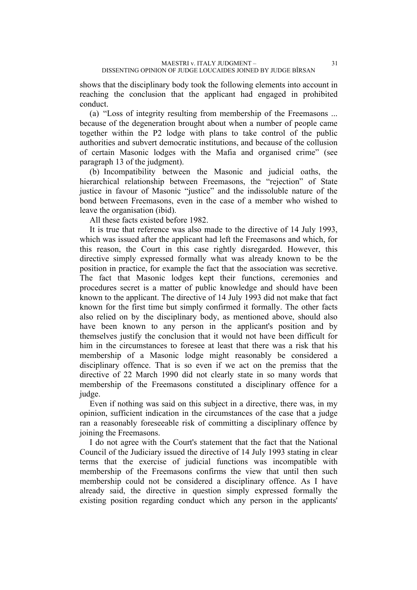shows that the disciplinary body took the following elements into account in reaching the conclusion that the applicant had engaged in prohibited conduct.

(a) "Loss of integrity resulting from membership of the Freemasons ... because of the degeneration brought about when a number of people came together within the P2 lodge with plans to take control of the public authorities and subvert democratic institutions, and because of the collusion of certain Masonic lodges with the Mafia and organised crime" (see paragraph 13 of the judgment).

(b) Incompatibility between the Masonic and judicial oaths, the hierarchical relationship between Freemasons, the "rejection" of State justice in favour of Masonic "justice" and the indissoluble nature of the bond between Freemasons, even in the case of a member who wished to leave the organisation (ibid).

All these facts existed before 1982.

It is true that reference was also made to the directive of 14 July 1993, which was issued after the applicant had left the Freemasons and which, for this reason, the Court in this case rightly disregarded. However, this directive simply expressed formally what was already known to be the position in practice, for example the fact that the association was secretive. The fact that Masonic lodges kept their functions, ceremonies and procedures secret is a matter of public knowledge and should have been known to the applicant. The directive of 14 July 1993 did not make that fact known for the first time but simply confirmed it formally. The other facts also relied on by the disciplinary body, as mentioned above, should also have been known to any person in the applicant's position and by themselves justify the conclusion that it would not have been difficult for him in the circumstances to foresee at least that there was a risk that his membership of a Masonic lodge might reasonably be considered a disciplinary offence. That is so even if we act on the premiss that the directive of 22 March 1990 did not clearly state in so many words that membership of the Freemasons constituted a disciplinary offence for a judge.

Even if nothing was said on this subject in a directive, there was, in my opinion, sufficient indication in the circumstances of the case that a judge ran a reasonably foreseeable risk of committing a disciplinary offence by joining the Freemasons.

I do not agree with the Court's statement that the fact that the National Council of the Judiciary issued the directive of 14 July 1993 stating in clear terms that the exercise of judicial functions was incompatible with membership of the Freemasons confirms the view that until then such membership could not be considered a disciplinary offence. As I have already said, the directive in question simply expressed formally the existing position regarding conduct which any person in the applicants'